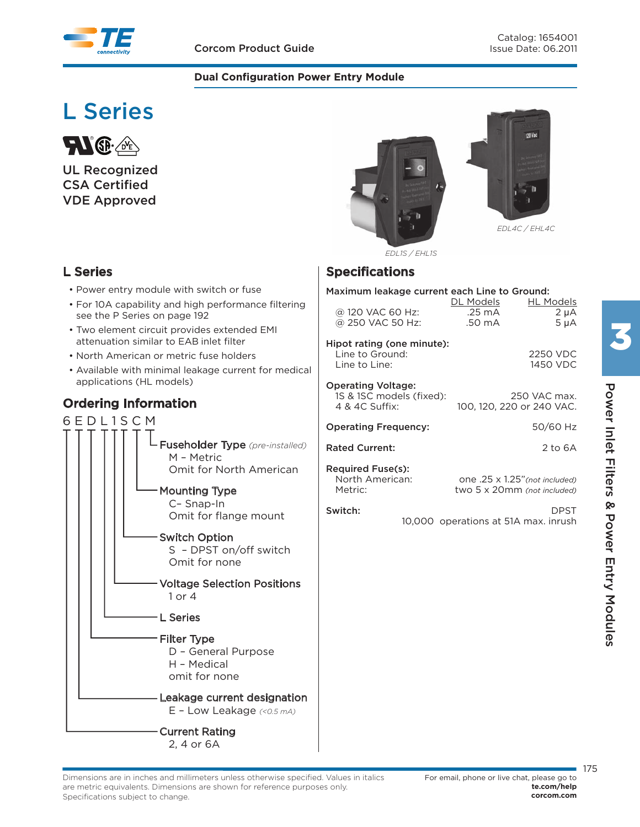#### **Dual Configuration Power Entry Module**

# **L Series**



**UL Recognized CSA Certified VDE Approved**

## **L Series**

- Power entry module with switch or fuse
- For 10A capability and high performance filtering see the P Series on page 192
- Two element circuit provides extended EMI attenuation similar to EAB inlet filter
- North American or metric fuse holders
- Available with minimal leakage current for medical applications (HL models)

## **Ordering Information**







*EDL4C / EHL4C*

*EDL1S / EHL1S*

### **Specifications**

| Maximum leakage current each Line to Ground:                                                                            |                                         |                                            |  |  |  |  |  |
|-------------------------------------------------------------------------------------------------------------------------|-----------------------------------------|--------------------------------------------|--|--|--|--|--|
| @ 120 VAC 60 Hz:<br>@ 250 VAC 50 Hz:                                                                                    | DL Models<br>$.25 \text{ mA}$<br>.50 mA | <b>HL Models</b><br>$2 \mu A$<br>$5 \mu A$ |  |  |  |  |  |
| Hipot rating (one minute):<br>Line to Ground:<br>Line to Line:                                                          |                                         | 2250 VDC<br>1450 VDC                       |  |  |  |  |  |
| <b>Operating Voltage:</b><br>1S & 1SC models (fixed):<br>4 & 4C Suffix:                                                 | 100, 120, 220 or 240 VAC.               | 250 VAC max.                               |  |  |  |  |  |
| <b>Operating Frequency:</b>                                                                                             |                                         | 50/60 Hz                                   |  |  |  |  |  |
| <b>Rated Current:</b>                                                                                                   |                                         | 2 to $6A$                                  |  |  |  |  |  |
| <b>Required Fuse(s):</b><br>North American:<br>one .25 x 1.25" (not included)<br>Metric:<br>two 5 x 20mm (not included) |                                         |                                            |  |  |  |  |  |
| Switch:                                                                                                                 | 10,000 operations at 51A max. inrush    | <b>DPST</b>                                |  |  |  |  |  |
|                                                                                                                         |                                         |                                            |  |  |  |  |  |
|                                                                                                                         |                                         |                                            |  |  |  |  |  |
|                                                                                                                         |                                         |                                            |  |  |  |  |  |
|                                                                                                                         |                                         |                                            |  |  |  |  |  |
|                                                                                                                         |                                         |                                            |  |  |  |  |  |
|                                                                                                                         |                                         |                                            |  |  |  |  |  |

175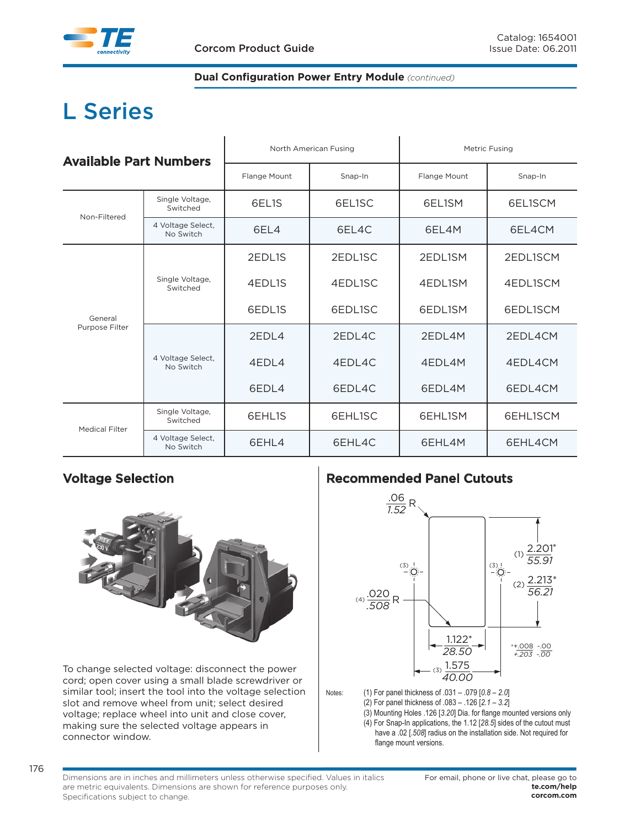## **L Series**

| <b>Available Part Numbers</b> |                                |                                                                                                                                                                                                                                                                                                                       |         | Metric Fusing |          |  |
|-------------------------------|--------------------------------|-----------------------------------------------------------------------------------------------------------------------------------------------------------------------------------------------------------------------------------------------------------------------------------------------------------------------|---------|---------------|----------|--|
|                               |                                | Flange Mount                                                                                                                                                                                                                                                                                                          | Snap-In | Flange Mount  | Snap-In  |  |
| Non-Filtered                  | Single Voltage,<br>Switched    | 6EL <sub>1</sub> S                                                                                                                                                                                                                                                                                                    | 6EL1SC  | 6EL1SM        | 6EL1SCM  |  |
|                               | 4 Voltage Select,<br>No Switch | North American Fusing<br>6FI4<br>6EL4C<br>6FI 4M<br>2EDL <sub>1S</sub><br>2EDL1SC<br>2EDL1SM<br>4EDL1S<br>4EDL1SC<br>4EDL1SM<br>6EDL1SC<br>6EDL1S<br>6EDL1SM<br>2FDI 4<br>2FDI 4C<br>2FDI 4M<br>4FDI 4C<br>4EDL4<br>4FDI 4M<br>6EDL4<br>6EDL4C<br>6EDL4M<br>6EHL1S<br>6EHL1SC<br>6EHL1SM<br>6EHL4C<br>6EHL4M<br>6EHL4 |         | 6EL4CM        |          |  |
|                               |                                |                                                                                                                                                                                                                                                                                                                       |         |               | 2EDL1SCM |  |
|                               | Single Voltage,<br>Switched    |                                                                                                                                                                                                                                                                                                                       |         |               | 4EDL1SCM |  |
| General<br>Purpose Filter     |                                |                                                                                                                                                                                                                                                                                                                       |         |               | 6EDL1SCM |  |
|                               |                                |                                                                                                                                                                                                                                                                                                                       |         |               | 2FDI 4CM |  |
|                               | 4 Voltage Select,<br>No Switch |                                                                                                                                                                                                                                                                                                                       |         |               | 4EDL4CM  |  |
|                               |                                |                                                                                                                                                                                                                                                                                                                       |         |               | 6EDL4CM  |  |
| <b>Medical Filter</b>         | Single Voltage,<br>Switched    |                                                                                                                                                                                                                                                                                                                       |         |               | 6EHL1SCM |  |
|                               | 4 Voltage Select,<br>No Switch |                                                                                                                                                                                                                                                                                                                       |         |               | 6EHL4CM  |  |

### **Voltage Selection**



To change selected voltage: disconnect the power cord; open cover using a small blade screwdriver or similar tool; insert the tool into the voltage selection slot and remove wheel from unit; select desired voltage; replace wheel into unit and close cover, making sure the selected voltage appears in connector window.

### **Recommended Panel Cutouts**



- (2) For panel thickness of  $.083 .126$  [2.1 3.2]
- 

(3) Mounting Holes .126 [3.20] Dia. for flange mounted versions only  $(4)$  For Snap-In applications, the 1.12 [28.5] sides of the cutout must have a .02 [.508] radius on the installation side. Not required for flange mount versions.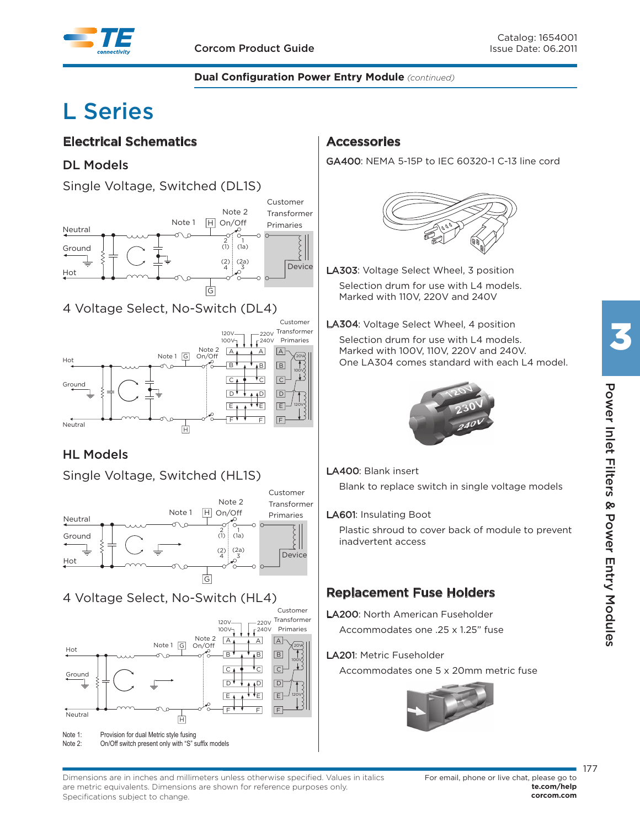

## **L Series**

## **Electrical Schematics**

### **DL Models**

Single Voltage, Switched (DL1S)



## 4 Voltage Select, No-Switch (DL4)



## **HL Models**



## 4 Voltage Select, No-Switch (HL4)



Note 2: On/Off switch present only with "S" suffix models

## **Accessories**

GA400: NEMA 5-15P to IEC 60320-1 C-13 line cord



LA303: Voltage Select Wheel, 3 position Selection drum for use with L4 models.

Marked with 110V, 220V and 240V

LA304: Voltage Select Wheel, 4 position

 Selection drum for use with L4 models. Marked with 100V, 110V, 220V and 240V. One LA304 comes standard with each L4 model.



#### LA400: Blank insert

Blank to replace switch in single voltage models

#### LA601: Insulating Boot

 Plastic shroud to cover back of module to prevent inadvertent access

## **Replacement Fuse Holders**

LA200: North American Fuseholder Accommodates one .25 x 1.25" fuse

#### LA201: Metric Fuseholder

Accommodates one 5 x 20mm metric fuse





177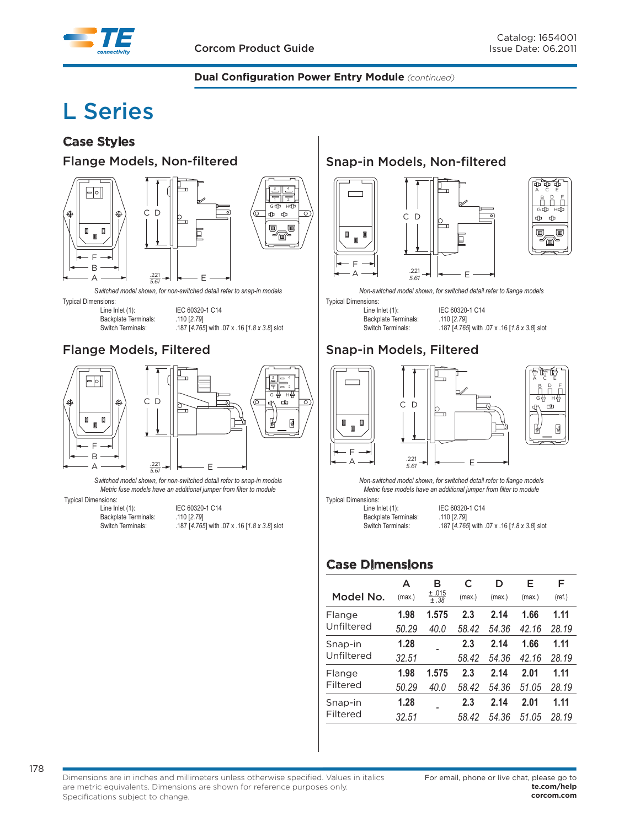

## **L Series**

## **Case Styles**

#### **Flange Models, Non-filtered**





Switched model shown, for non-switched detail refer to snap-in models

**Typical Dimensions:** 

Line Inlet (1): IEC 60320-1 C14 Backplate Terminals: 110 [2.79]<br>Switch Terminals: 187 [4.765

.187 [4.765] with .07 x .16 [1.8 x 3.8] slot

 $\overline{\circ}$ 

## **Flange Models, Filtered**



Switched model shown, for non-switched detail refer to snap-in models Metric fuse models have an additional jumper from filter to module

Typical Dimensions:<br>Line Inlet (1):

Backplate Terminals: 110 [2.79]

IEC 60320-1 C14 Switch Terminals: 187 [4.765] with .07 x .16 [1.8 x 3.8] slot

## **Snap-in Models, Non-filtered**





Non-switched model shown, for switched detail refer to flange models

**Typical Dimensions:** 

Backplate Terminals: 110 [2.79]<br>Switch Terminals: 187 [4.765

Line Inlet (1): IEC 60320-1 C14 .187 [4.765] with .07 x .16 [1.8 x 3.8] slot

## **Snap-in Models, Filtered**





Non-switched model shown, for switched detail refer to flange models Metric fuse models have an additional jumper from filter to module

⊵  $\mathbf{r}$ 

Typical Dimensions:<br>Line Inlet (1):

Backplate Terminals: 110 [2.79]

IEC 60320-1 C14 Switch Terminals: . . . . . . . . 187 [4.765] with .07 x .16 [1.8 x 3.8] slot

## **Case Dimensions**

|            | А      | в             | C      | D      | Е      | F      |
|------------|--------|---------------|--------|--------|--------|--------|
| Model No.  | (max.) | ±.015<br>±.38 | (max.) | (max.) | (max.) | (ref.) |
| Flange     | 1.98   | 1.575         | 2.3    | 2.14   | 1.66   | 1.11   |
| Unfiltered | 50.29  | 40.0          | 58.42  | 54.36  | 42.16  | 28.19  |
| Snap-in    | 1.28   |               | 2.3    | 2.14   | 1.66   | 1.11   |
| Unfiltered | 32.51  |               | 58.42  | 54.36  | 42.16  | 28.19  |
| Flange     | 1.98   | 1.575         | 2.3    | 2.14   | 2.01   | 1.11   |
| Filtered   | 50.29  | 40.0          | 58.42  | 54.36  | 51.05  | 28.19  |
| Snap-in    | 1.28   |               | 2.3    | 2.14   | 2.01   | 1.11   |
| Filtered   | 32.51  |               | 58.42  | 54.36  | 51.05  | 28.19  |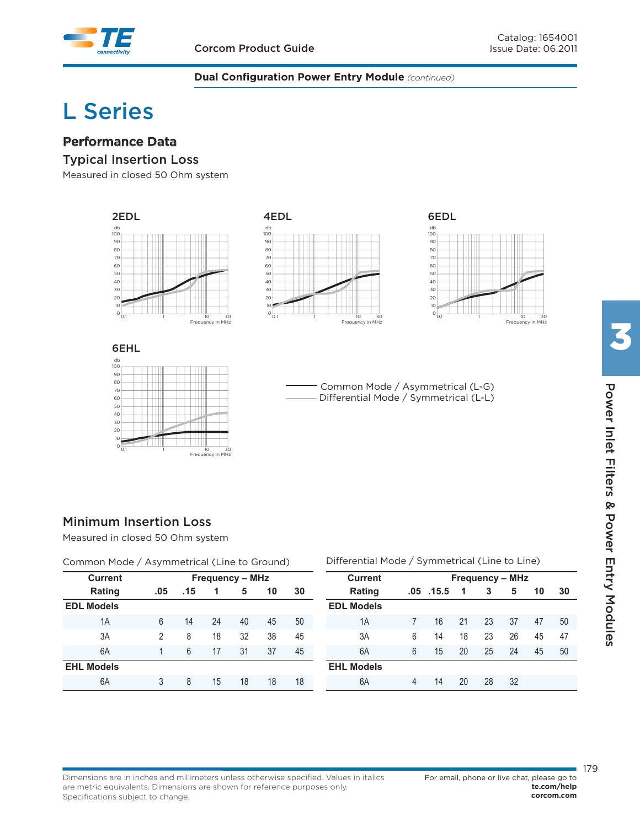## **L Series**

### **Performance Data**

#### **Typical Insertion Loss**

Measured in closed 50 Ohm system



Differential Mode / Symmetrical (L-L)

## **Minimum Insertion Loss**

Measured in closed 50 Ohm system

| Common Mode / Asymmetrical (Line to Ground) |                        |     |    |    |    |    |
|---------------------------------------------|------------------------|-----|----|----|----|----|
| <b>Current</b>                              | <b>Frequency – MHz</b> |     |    |    |    |    |
| <b>Rating</b>                               | .05                    | .15 | 1  | 5  | 10 | 30 |
| <b>EDL Models</b>                           |                        |     |    |    |    |    |
| 1A                                          | 6                      | 14  | 24 | 40 | 45 | 50 |
| 3A                                          | 2                      | 8   | 18 | 32 | 38 | 45 |
| 6A                                          | 1                      | 6   | 17 | 31 | 37 | 45 |
| <b>EHL Models</b>                           |                        |     |    |    |    |    |
| 6A                                          | 3                      | 8   | 15 | 18 | 18 | 18 |

0.1 1 10 30

ncy in MHz

#### Differential Mode / Symmetrical (Line to Line)

| <b>Current</b>    | <b>Frequency - MHz</b> |       |    |    |    |    |    |
|-------------------|------------------------|-------|----|----|----|----|----|
| Rating            | .05                    | .15.5 | 1  | 3  | 5  | 10 | 30 |
| <b>EDL Models</b> |                        |       |    |    |    |    |    |
| 1A                | 7                      | 16    | 21 | 23 | 37 | 47 | 50 |
| 3A                | 6                      | 14    | 18 | 23 | 26 | 45 | 47 |
| 6A                | 6                      | 15    | 20 | 25 | 24 | 45 | 50 |
| <b>EHL Models</b> |                        |       |    |    |    |    |    |
| 6A                | 4                      | 14    | 20 | 28 | 32 |    |    |

#### Dimensions are in inches and millimeters unless otherwise specified. Values in italics are metric equivalents. Dimensions are shown for reference purposes only. Specifications subject to change.

179